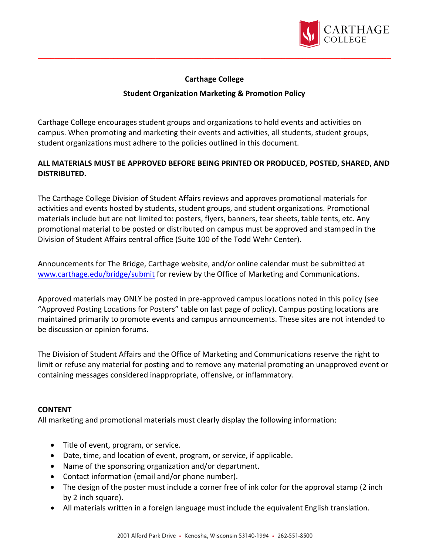

## **Carthage College**

### **Student Organization Marketing & Promotion Policy**

Carthage College encourages student groups and organizations to hold events and activities on campus. When promoting and marketing their events and activities, all students, student groups, student organizations must adhere to the policies outlined in this document.

# **ALL MATERIALS MUST BE APPROVED BEFORE BEING PRINTED OR PRODUCED, POSTED, SHARED, AND DISTRIBUTED.**

The Carthage College Division of Student Affairs reviews and approves promotional materials for activities and events hosted by students, student groups, and student organizations. Promotional materials include but are not limited to: posters, flyers, banners, tear sheets, table tents, etc. Any promotional material to be posted or distributed on campus must be approved and stamped in the Division of Student Affairs central office (Suite 100 of the Todd Wehr Center).

Announcements for The Bridge, Carthage website, and/or online calendar must be submitted at [www.carthage.edu/bridge/submit](http://www.carthage.edu/bridge/submit) for review by the Office of Marketing and Communications.

Approved materials may ONLY be posted in pre-approved campus locations noted in this policy (see "Approved Posting Locations for Posters" table on last page of policy). Campus posting locations are maintained primarily to promote events and campus announcements. These sites are not intended to be discussion or opinion forums.

The Division of Student Affairs and the Office of Marketing and Communications reserve the right to limit or refuse any material for posting and to remove any material promoting an unapproved event or containing messages considered inappropriate, offensive, or inflammatory.

### **CONTENT**

All marketing and promotional materials must clearly display the following information:

- Title of event, program, or service.
- Date, time, and location of event, program, or service, if applicable.
- Name of the sponsoring organization and/or department.
- Contact information (email and/or phone number).
- The design of the poster must include a corner free of ink color for the approval stamp (2 inch by 2 inch square).
- All materials written in a foreign language must include the equivalent English translation.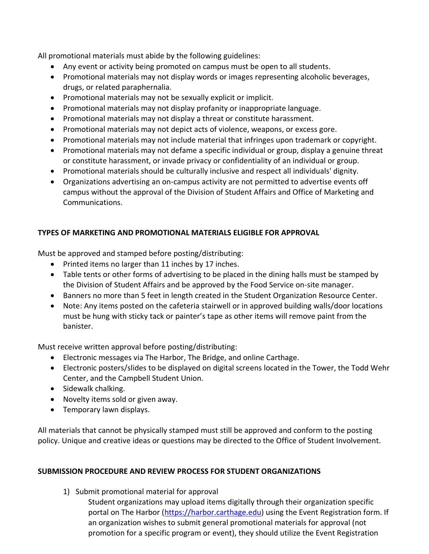All promotional materials must abide by the following guidelines:

- Any event or activity being promoted on campus must be open to all students.
- Promotional materials may not display words or images representing alcoholic beverages, drugs, or related paraphernalia.
- Promotional materials may not be sexually explicit or implicit.
- Promotional materials may not display profanity or inappropriate language.
- Promotional materials may not display a threat or constitute harassment.
- Promotional materials may not depict acts of violence, weapons, or excess gore.
- Promotional materials may not include material that infringes upon trademark or copyright.
- Promotional materials may not defame a specific individual or group, display a genuine threat or constitute harassment, or invade privacy or confidentiality of an individual or group.
- Promotional materials should be culturally inclusive and respect all individuals' dignity.
- Organizations advertising an on-campus activity are not permitted to advertise events off campus without the approval of the Division of Student Affairs and Office of Marketing and Communications.

# **TYPES OF MARKETING AND PROMOTIONAL MATERIALS ELIGIBLE FOR APPROVAL**

Must be approved and stamped before posting/distributing:

- Printed items no larger than 11 inches by 17 inches.
- Table tents or other forms of advertising to be placed in the dining halls must be stamped by the Division of Student Affairs and be approved by the Food Service on-site manager.
- Banners no more than 5 feet in length created in the Student Organization Resource Center.
- Note: Any items posted on the cafeteria stairwell or in approved building walls/door locations must be hung with sticky tack or painter's tape as other items will remove paint from the banister.

Must receive written approval before posting/distributing:

- Electronic messages via The Harbor, The Bridge, and online Carthage.
- Electronic posters/slides to be displayed on digital screens located in the Tower, the Todd Wehr Center, and the Campbell Student Union.
- Sidewalk chalking.
- Novelty items sold or given away.
- Temporary lawn displays.

All materials that cannot be physically stamped must still be approved and conform to the posting policy. Unique and creative ideas or questions may be directed to the Office of Student Involvement.

## **SUBMISSION PROCEDURE AND REVIEW PROCESS FOR STUDENT ORGANIZATIONS**

1) Submit promotional material for approval

Student organizations may upload items digitally through their organization specific portal on The Harbor [\(https://harbor.carthage.edu\)](https://harbor.carthage.edu/) using the Event Registration form. If an organization wishes to submit general promotional materials for approval (not promotion for a specific program or event), they should utilize the Event Registration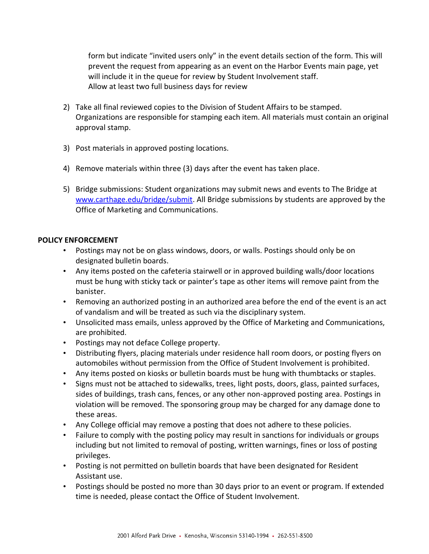form but indicate "invited users only" in the event details section of the form. This will prevent the request from appearing as an event on the Harbor Events main page, yet will include it in the queue for review by Student Involvement staff. Allow at least two full business days for review

- 2) Take all final reviewed copies to the Division of Student Affairs to be stamped. Organizations are responsible for stamping each item. All materials must contain an original approval stamp.
- 3) Post materials in approved posting locations.
- 4) Remove materials within three (3) days after the event has taken place.
- 5) Bridge submissions: Student organizations may submit news and events to The Bridge at [www.carthage.edu/bridge/submit.](http://www.carthage.edu/bridge/submit) All Bridge submissions by students are approved by the Office of Marketing and Communications.

### **POLICY ENFORCEMENT**

- Postings may not be on glass windows, doors, or walls. Postings should only be on designated bulletin boards.
- Any items posted on the cafeteria stairwell or in approved building walls/door locations must be hung with sticky tack or painter's tape as other items will remove paint from the banister.
- Removing an authorized posting in an authorized area before the end of the event is an act of vandalism and will be treated as such via the disciplinary system.
- Unsolicited mass emails, unless approved by the Office of Marketing and Communications, are prohibited.
- Postings may not deface College property.
- Distributing flyers, placing materials under residence hall room doors, or posting flyers on automobiles without permission from the Office of Student Involvement is prohibited.
- Any items posted on kiosks or bulletin boards must be hung with thumbtacks or staples.
- Signs must not be attached to sidewalks, trees, light posts, doors, glass, painted surfaces, sides of buildings, trash cans, fences, or any other non-approved posting area. Postings in violation will be removed. The sponsoring group may be charged for any damage done to these areas.
- Any College official may remove a posting that does not adhere to these policies.
- Failure to comply with the posting policy may result in sanctions for individuals or groups including but not limited to removal of posting, written warnings, fines or loss of posting privileges.
- Posting is not permitted on bulletin boards that have been designated for Resident Assistant use.
- Postings should be posted no more than 30 days prior to an event or program. If extended time is needed, please contact the Office of Student Involvement.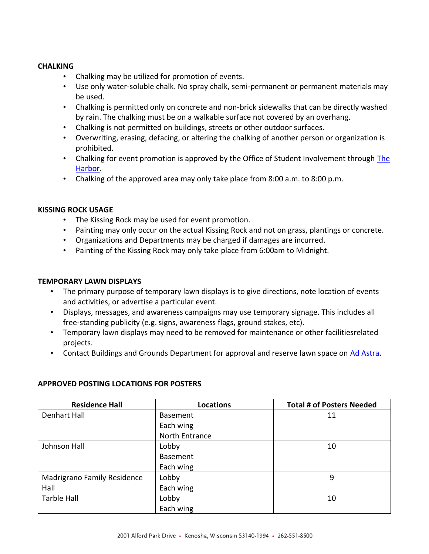#### **CHALKING**

- Chalking may be utilized for promotion of events.
- Use only water-soluble chalk. No spray chalk, semi-permanent or permanent materials may be used.
- Chalking is permitted only on concrete and non-brick sidewalks that can be directly washed by rain. The chalking must be on a walkable surface not covered by an overhang.
- Chalking is not permitted on buildings, streets or other outdoor surfaces.
- Overwriting, erasing, defacing, or altering the chalking of another person or organization is prohibited.
- Chalking for event promotion is approved by the Office of Student Involvement through [The](https://harbor.carthage.edu/)  [Harbor.](https://harbor.carthage.edu/)
- Chalking of the approved area may only take place from 8:00 a.m. to 8:00 p.m.

### **KISSING ROCK USAGE**

- The Kissing Rock may be used for event promotion.
- Painting may only occur on the actual Kissing Rock and not on grass, plantings or concrete.
- Organizations and Departments may be charged if damages are incurred.
- Painting of the Kissing Rock may only take place from 6:00am to Midnight.

#### **TEMPORARY LAWN DISPLAYS**

- The primary purpose of temporary lawn displays is to give directions, note location of events and activities, or advertise a particular event.
- Displays, messages, and awareness campaigns may use temporary signage. This includes all free-standing publicity (e.g. signs, awareness flags, ground stakes, etc).
- Temporary lawn displays may need to be removed for maintenance or other facilitiesrelated projects.
- Contact Buildings and Grounds Department for approval and reserve lawn space on [Ad Astra.](https://www.aaiscloud.com/CarthageC/Default.aspx)

| <b>Residence Hall</b>       | <b>Locations</b> | <b>Total # of Posters Needed</b> |
|-----------------------------|------------------|----------------------------------|
| <b>Denhart Hall</b>         | <b>Basement</b>  | 11                               |
|                             | Each wing        |                                  |
|                             | North Entrance   |                                  |
| Johnson Hall                | Lobby            | 10                               |
|                             | <b>Basement</b>  |                                  |
|                             | Each wing        |                                  |
| Madrigrano Family Residence | Lobby            | 9                                |
| Hall                        | Each wing        |                                  |
| <b>Tarble Hall</b>          | Lobby            | 10                               |
|                             | Each wing        |                                  |

#### **APPROVED POSTING LOCATIONS FOR POSTERS**